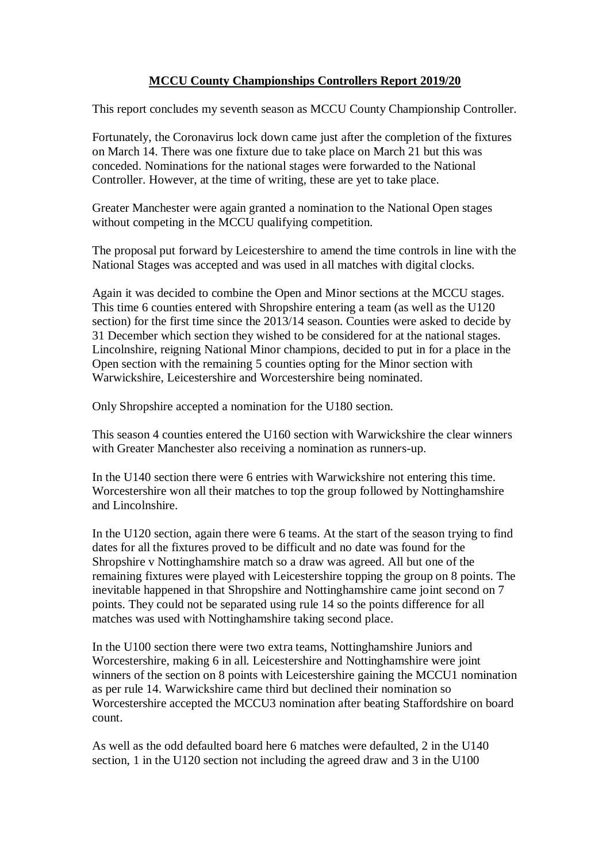# **MCCU County Championships Controllers Report 2019/20**

This report concludes my seventh season as MCCU County Championship Controller.

Fortunately, the Coronavirus lock down came just after the completion of the fixtures on March 14. There was one fixture due to take place on March 21 but this was conceded. Nominations for the national stages were forwarded to the National Controller. However, at the time of writing, these are yet to take place.

Greater Manchester were again granted a nomination to the National Open stages without competing in the MCCU qualifying competition.

The proposal put forward by Leicestershire to amend the time controls in line with the National Stages was accepted and was used in all matches with digital clocks.

Again it was decided to combine the Open and Minor sections at the MCCU stages. This time 6 counties entered with Shropshire entering a team (as well as the U120 section) for the first time since the 2013/14 season. Counties were asked to decide by 31 December which section they wished to be considered for at the national stages. Lincolnshire, reigning National Minor champions, decided to put in for a place in the Open section with the remaining 5 counties opting for the Minor section with Warwickshire, Leicestershire and Worcestershire being nominated.

Only Shropshire accepted a nomination for the U180 section.

This season 4 counties entered the U160 section with Warwickshire the clear winners with Greater Manchester also receiving a nomination as runners-up.

In the U140 section there were 6 entries with Warwickshire not entering this time. Worcestershire won all their matches to top the group followed by Nottinghamshire and Lincolnshire.

In the U120 section, again there were 6 teams. At the start of the season trying to find dates for all the fixtures proved to be difficult and no date was found for the Shropshire v Nottinghamshire match so a draw was agreed. All but one of the remaining fixtures were played with Leicestershire topping the group on 8 points. The inevitable happened in that Shropshire and Nottinghamshire came joint second on 7 points. They could not be separated using rule 14 so the points difference for all matches was used with Nottinghamshire taking second place.

In the U100 section there were two extra teams, Nottinghamshire Juniors and Worcestershire, making 6 in all. Leicestershire and Nottinghamshire were joint winners of the section on 8 points with Leicestershire gaining the MCCU1 nomination as per rule 14. Warwickshire came third but declined their nomination so Worcestershire accepted the MCCU3 nomination after beating Staffordshire on board count.

As well as the odd defaulted board here 6 matches were defaulted, 2 in the U140 section, 1 in the U120 section not including the agreed draw and 3 in the U100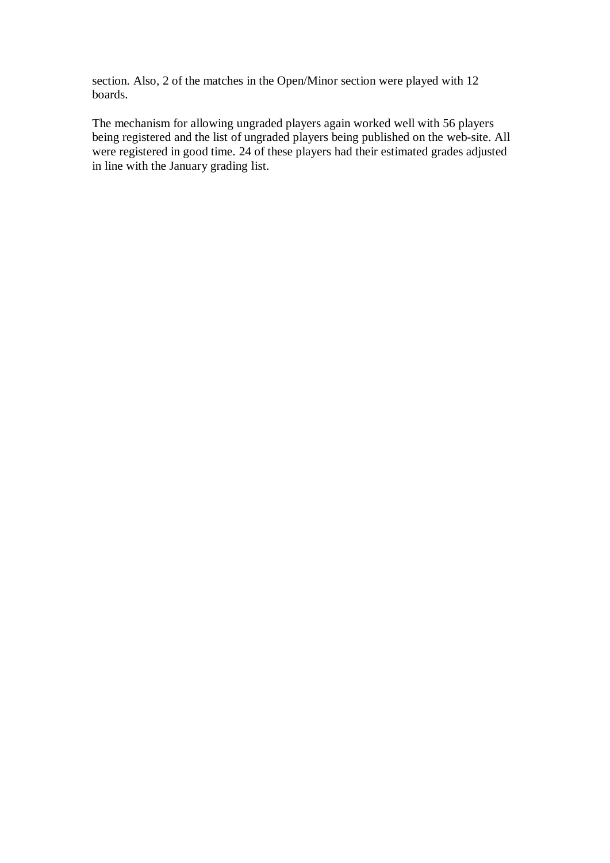section. Also, 2 of the matches in the Open/Minor section were played with 12 boards.

The mechanism for allowing ungraded players again worked well with 56 players being registered and the list of ungraded players being published on the web-site. All were registered in good time. 24 of these players had their estimated grades adjusted in line with the January grading list.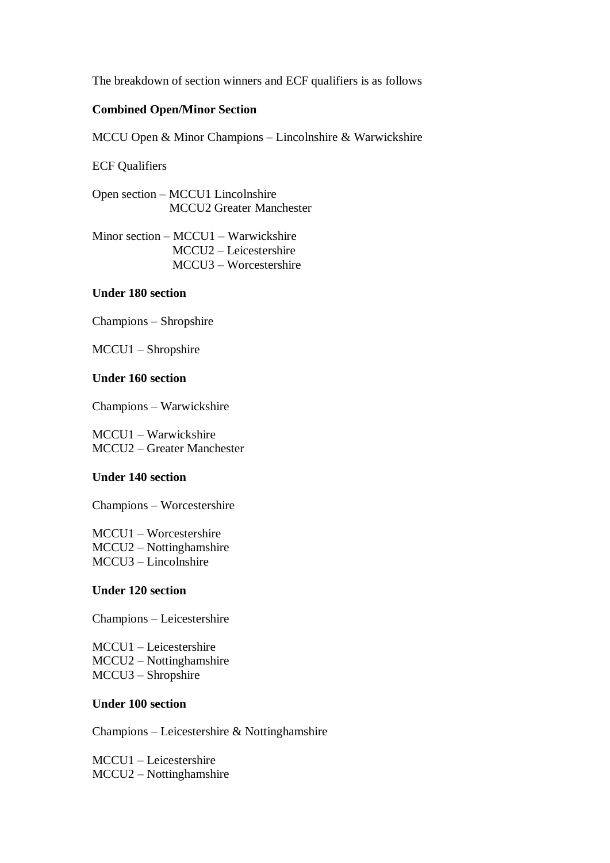The breakdown of section winners and ECF qualifiers is as follows

### **Combined Open/Minor Section**

MCCU Open & Minor Champions – Lincolnshire & Warwickshire

ECF Qualifiers

Open section – MCCU1 Lincolnshire MCCU2 Greater Manchester

Minor section – MCCU1 – Warwickshire MCCU2 – Leicestershire MCCU3 – Worcestershire

## **Under 180 section**

Champions – Shropshire

MCCU1 – Shropshire

## **Under 160 section**

Champions – Warwickshire

MCCU1 – Warwickshire MCCU2 – Greater Manchester

#### **Under 140 section**

Champions – Worcestershire

MCCU1 – Worcestershire MCCU2 – Nottinghamshire MCCU3 – Lincolnshire

#### **Under 120 section**

Champions – Leicestershire

MCCU1 – Leicestershire MCCU2 – Nottinghamshire MCCU3 – Shropshire

## **Under 100 section**

Champions – Leicestershire & Nottinghamshire

MCCU1 – Leicestershire MCCU2 – Nottinghamshire